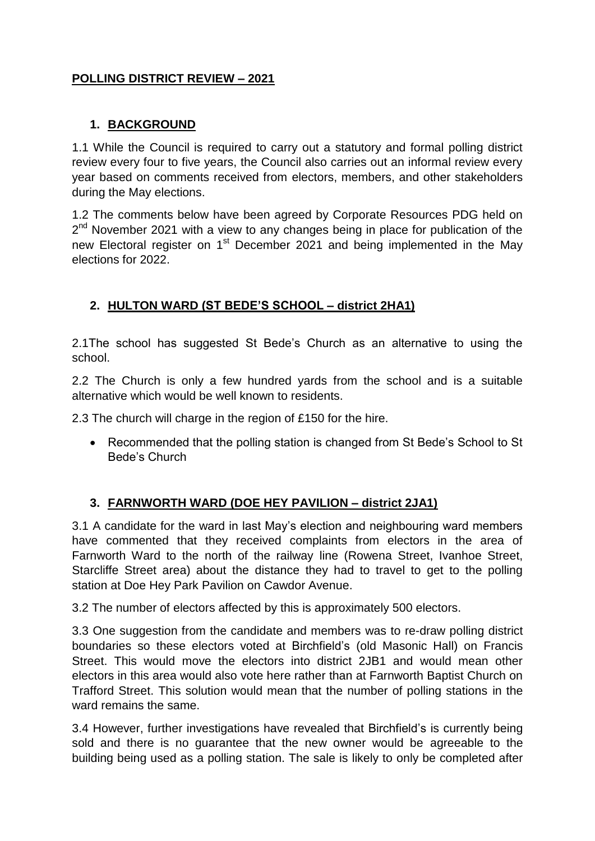## **POLLING DISTRICT REVIEW – 2021**

### **1. BACKGROUND**

1.1 While the Council is required to carry out a statutory and formal polling district review every four to five years, the Council also carries out an informal review every year based on comments received from electors, members, and other stakeholders during the May elections.

1.2 The comments below have been agreed by Corporate Resources PDG held on 2<sup>nd</sup> November 2021 with a view to any changes being in place for publication of the new Electoral register on 1<sup>st</sup> December 2021 and being implemented in the May elections for 2022.

# **2. HULTON WARD (ST BEDE'S SCHOOL – district 2HA1)**

2.1The school has suggested St Bede's Church as an alternative to using the school.

2.2 The Church is only a few hundred yards from the school and is a suitable alternative which would be well known to residents.

2.3 The church will charge in the region of £150 for the hire.

• Recommended that the polling station is changed from St Bede's School to St Bede's Church

# **3. FARNWORTH WARD (DOE HEY PAVILION – district 2JA1)**

3.1 A candidate for the ward in last May's election and neighbouring ward members have commented that they received complaints from electors in the area of Farnworth Ward to the north of the railway line (Rowena Street, Ivanhoe Street, Starcliffe Street area) about the distance they had to travel to get to the polling station at Doe Hey Park Pavilion on Cawdor Avenue.

3.2 The number of electors affected by this is approximately 500 electors.

3.3 One suggestion from the candidate and members was to re-draw polling district boundaries so these electors voted at Birchfield's (old Masonic Hall) on Francis Street. This would move the electors into district 2JB1 and would mean other electors in this area would also vote here rather than at Farnworth Baptist Church on Trafford Street. This solution would mean that the number of polling stations in the ward remains the same.

3.4 However, further investigations have revealed that Birchfield's is currently being sold and there is no guarantee that the new owner would be agreeable to the building being used as a polling station. The sale is likely to only be completed after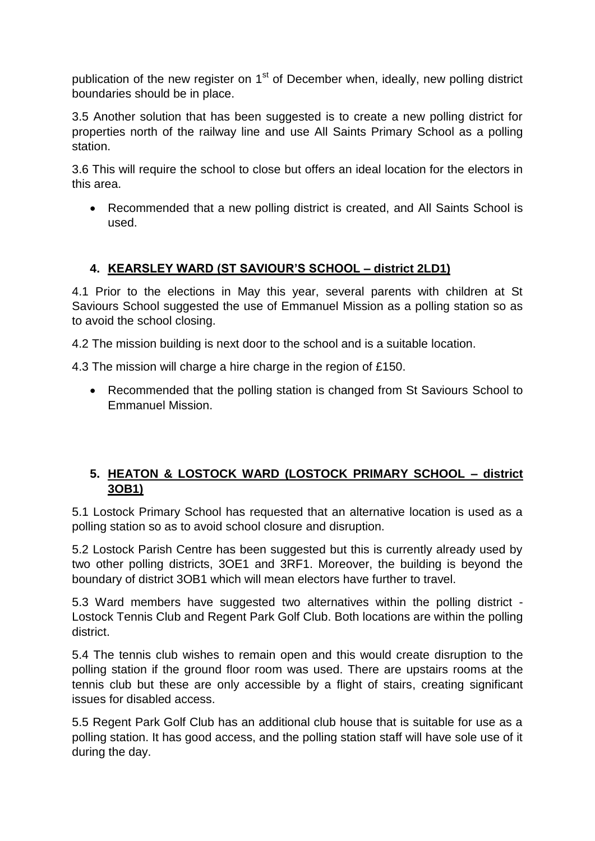publication of the new register on  $1<sup>st</sup>$  of December when, ideally, new polling district boundaries should be in place.

3.5 Another solution that has been suggested is to create a new polling district for properties north of the railway line and use All Saints Primary School as a polling station.

3.6 This will require the school to close but offers an ideal location for the electors in this area.

• Recommended that a new polling district is created, and All Saints School is used.

# **4. KEARSLEY WARD (ST SAVIOUR'S SCHOOL – district 2LD1)**

4.1 Prior to the elections in May this year, several parents with children at St Saviours School suggested the use of Emmanuel Mission as a polling station so as to avoid the school closing.

4.2 The mission building is next door to the school and is a suitable location.

4.3 The mission will charge a hire charge in the region of £150.

• Recommended that the polling station is changed from St Saviours School to Emmanuel Mission.

### **5. HEATON & LOSTOCK WARD (LOSTOCK PRIMARY SCHOOL – district 3OB1)**

5.1 Lostock Primary School has requested that an alternative location is used as a polling station so as to avoid school closure and disruption.

5.2 Lostock Parish Centre has been suggested but this is currently already used by two other polling districts, 3OE1 and 3RF1. Moreover, the building is beyond the boundary of district 3OB1 which will mean electors have further to travel.

5.3 Ward members have suggested two alternatives within the polling district - Lostock Tennis Club and Regent Park Golf Club. Both locations are within the polling district.

5.4 The tennis club wishes to remain open and this would create disruption to the polling station if the ground floor room was used. There are upstairs rooms at the tennis club but these are only accessible by a flight of stairs, creating significant issues for disabled access.

5.5 Regent Park Golf Club has an additional club house that is suitable for use as a polling station. It has good access, and the polling station staff will have sole use of it during the day.